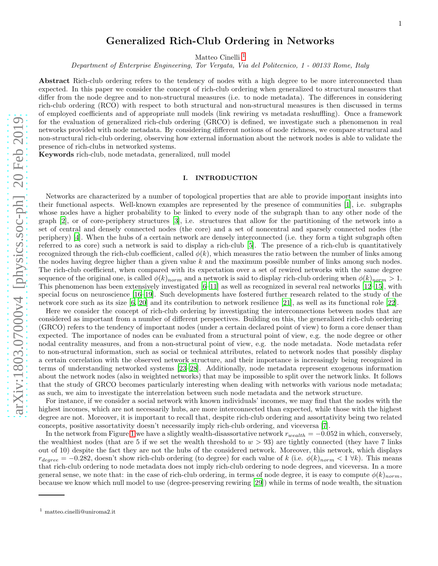#### 1

# Generalized Rich-Club Ordering in Networks

Matteo Cinelli<sup>[1](#page-0-0)</sup>

Department of Enterprise Engineering, Tor Vergata, Via del Politecnico, 1 - 00133 Rome, Italy

Abstract Rich-club ordering refers to the tendency of nodes with a high degree to be more interconnected than expected. In this paper we consider the concept of rich-club ordering when generalized to structural measures that differ from the node degree and to non-structural measures (i.e. to node metadata). The differences in considering rich-club ordering (RCO) with respect to both structural and non-structural measures is then discussed in terms of employed coefficients and of appropriate null models (link rewiring vs metadata reshuffling). Once a framework for the evaluation of generalized rich-club ordering (GRCO) is defined, we investigate such a phenomenon in real networks provided with node metadata. By considering different notions of node richness, we compare structural and non-structural rich-club ordering, observing how external information about the network nodes is able to validate the presence of rich-clubs in networked systems.

Keywords rich-club, node metadata, generalized, null model

# <span id="page-0-1"></span>I. INTRODUCTION

Networks are characterized by a number of topological properties that are able to provide important insights into their functional aspects. Well-known examples are represented by the presence of communities [\[1\]](#page-11-0), i.e. subgraphs whose nodes have a higher probability to be linked to every node of the subgraph than to any other node of the graph [\[2\]](#page-11-1), or of core-periphery structures [\[3\]](#page-11-2), i.e. structures that allow for the partitioning of the network into a set of central and densely connected nodes (the core) and a set of noncentral and sparsely connected nodes (the periphery) [\[4](#page-11-3)]. When the hubs of a certain network are densely interconnected (i.e. they form a tight subgraph often referred to as core) such a network is said to display a rich-club [\[5](#page-11-4)]. The presence of a rich-club is quantitatively recognized through the rich-club coefficient, called  $\phi(k)$ , which measures the ratio between the number of links among the nodes having degree higher than a given value k and the maximum possible number of links among such nodes. The rich-club coefficient, when compared with its expectation over a set of rewired networks with the same degree sequence of the original one, is called  $\phi(k)_{norm}$  and a network is said to display rich-club ordering when  $\phi(k)_{norm} > 1$ . This phenomenon has been extensively investigated [\[6–](#page-12-0)[11\]](#page-12-1) as well as recognized in several real networks [\[12](#page-12-2)[–15](#page-12-3)], with special focus on neuroscience [\[16](#page-12-4)[–19\]](#page-12-5). Such developments have fostered further research related to the study of the network core such as its size [\[6](#page-12-0), [20](#page-12-6)] and its contribution to network resilience [\[21\]](#page-12-7), as well as its functional role [\[22](#page-12-8)].

Here we consider the concept of rich-club ordering by investigating the interconnections between nodes that are considered as important from a number of different perspectives. Building on this, the generalized rich-club ordering (GRCO) refers to the tendency of important nodes (under a certain declared point of view) to form a core denser than expected. The importance of nodes can be evaluated from a structural point of view, e.g. the node degree or other nodal centrality measures, and from a non-structural point of view, e.g. the node metadata. Node metadata refer to non-structural information, such as social or technical attributes, related to network nodes that possibly display a certain correlation with the observed network structure, and their importance is increasingly being recognized in terms of understanding networked systems [\[23](#page-12-9)[–28\]](#page-12-10). Additionally, node metadata represent exogenous information about the network nodes (also in weighted networks) that may be impossible to split over the network links. It follows that the study of GRCO becomes particularly interesting when dealing with networks with various node metadata; as such, we aim to investigate the interrelation between such node metadata and the network structure.

For instance, if we consider a social network with known individuals' incomes, we may find that the nodes with the highest incomes, which are not necessarily hubs, are more interconnected than expected, while those with the highest degree are not. Moreover, it is important to recall that, despite rich-club ordering and assortativity being two related concepts, positive assortativity doesn't necessarily imply rich-club ordering, and viceversa [\[7\]](#page-12-11).

In the network from Figure [1](#page-1-0) we have a slightly wealth-disassortative network  $r_{wealth} = -0.052$  in which, conversely, the wealthiest nodes (that are 5 if we set the wealth threshold to  $w > 93$ ) are tightly connected (they have 7 links out of 10) despite the fact they are not the hubs of the considered network. Moreover, this network, which displays  $r_{degree} = -0.282$ , doesn't show rich-club ordering (to degree) for each value of k (i.e.  $\phi(k)_{norm} < 1 \,\forall k$ ). This means that rich-club ordering to node metadata does not imply rich-club ordering to node degrees, and viceversa. In a more general sense, we note that: in the case of rich-club ordering, in terms of node degree, it is easy to compute  $\phi(k)_{norm}$ , because we know which null model to use (degree-preserving rewiring [\[29\]](#page-12-12)) while in terms of node wealth, the situation

<span id="page-0-0"></span><sup>1</sup> matteo.cinelli@uniroma2.it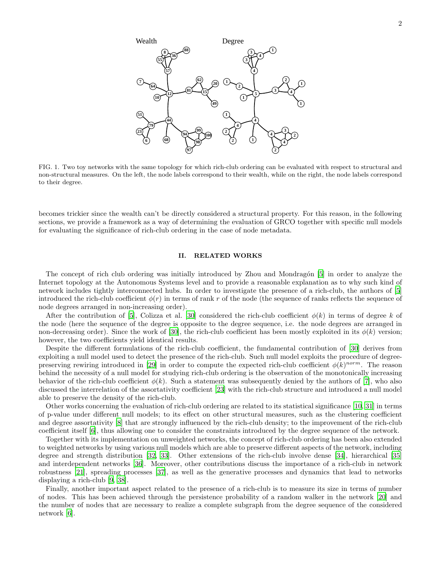

<span id="page-1-0"></span>FIG. 1. Two toy networks with the same topology for which rich-club ordering can be evaluated with respect to structural and non-structural measures. On the left, the node labels correspond to their wealth, while on the right, the node labels correspond to their degree.

becomes trickier since the wealth can't be directly considered a structural property. For this reason, in the following sections, we provide a framework as a way of determining the evaluation of GRCO together with specific null models for evaluating the significance of rich-club ordering in the case of node metadata.

## II. RELATED WORKS

The concept of rich club ordering was initially introduced by Zhou and Mondragón [\[5](#page-11-4)] in order to analyze the Internet topology at the Autonomous Systems level and to provide a reasonable explanation as to why such kind of network includes tightly interconnected hubs. In order to investigate the presence of a rich-club, the authors of [\[5](#page-11-4)] introduced the rich-club coefficient  $\phi(r)$  in terms of rank r of the node (the sequence of ranks reflects the sequence of node degrees arranged in non-increasing order).

After the contribution of [\[5](#page-11-4)], Colizza et al. [\[30\]](#page-12-13) considered the rich-club coefficient  $\phi(k)$  in terms of degree k of the node (here the sequence of the degree is opposite to the degree sequence, i.e. the node degrees are arranged in non-decreasing order). Since the work of [\[30\]](#page-12-13), the rich-club coefficient has been mostly exploited in its  $\phi(k)$  version; however, the two coefficients yield identical results.

Despite the different formulations of the rich-club coefficient, the fundamental contribution of [\[30\]](#page-12-13) derives from exploiting a null model used to detect the presence of the rich-club. Such null model exploits the procedure of degree-preserving rewiring introduced in [\[29](#page-12-12)] in order to compute the expected rich-club coefficient  $\phi(k)^{norm}$ . The reason behind the necessity of a null model for studying rich-club ordering is the observation of the monotonically increasing behavior of the rich-club coefficient  $\phi(k)$ . Such a statement was subsequently denied by the authors of [\[7](#page-12-11)], who also discussed the interrelation of the assortativity coefficient [\[23](#page-12-9)] with the rich-club structure and introduced a null model able to preserve the density of the rich-club.

Other works concerning the evaluation of rich-club ordering are related to its statistical significance [\[10,](#page-12-14) [31](#page-12-15)] in terms of p-value under different null models; to its effect on other structural measures, such as the clustering coefficient and degree assortativity [\[8](#page-12-16)] that are strongly influenced by the rich-club density; to the improvement of the rich-club coefficient itself [\[6](#page-12-0)], thus allowing one to consider the constraints introduced by the degree sequence of the network.

Together with its implementation on unweighted networks, the concept of rich-club ordering has been also extended to weighted networks by using various null models which are able to preserve different aspects of the network, including degree and strength distribution [\[32](#page-12-17), [33\]](#page-12-18). Other extensions of the rich-club involve dense [\[34\]](#page-12-19), hierarchical [\[35](#page-12-20)] and interdependent networks [\[36\]](#page-12-21). Moreover, other contributions discuss the importance of a rich-club in network robustness [\[21\]](#page-12-7), spreading processes [\[37](#page-12-22)], as well as the generative processes and dynamics that lead to networks displaying a rich-club [\[9,](#page-12-23) [38\]](#page-13-0).

Finally, another important aspect related to the presence of a rich-club is to measure its size in terms of number of nodes. This has been achieved through the persistence probability of a random walker in the network [\[20](#page-12-6)] and the number of nodes that are necessary to realize a complete subgraph from the degree sequence of the considered network [\[6\]](#page-12-0).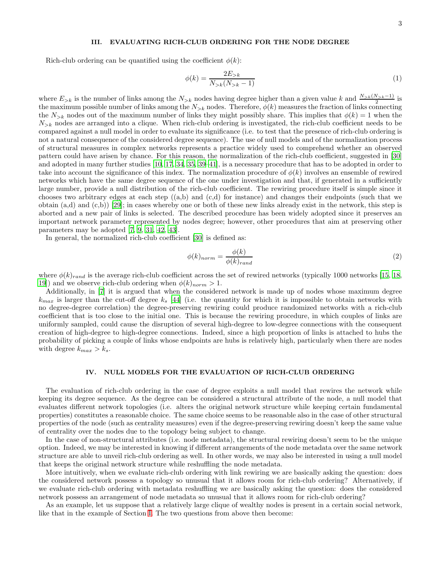## 3

## III. EVALUATING RICH-CLUB ORDERING FOR THE NODE DEGREE

Rich-club ordering can be quantified using the coefficient  $\phi(k)$ :

$$
\phi(k) = \frac{2E_{>k}}{N_{>k}(N_{>k} - 1)}\tag{1}
$$

where  $E_{>k}$  is the number of links among the  $N_{>k}$  nodes having degree higher than a given value k and  $\frac{N_{>k}(N_{>k}-1)}{2}$  is the maximum possible number of links among the  $N_{\geq k}$  nodes. Therefore,  $\phi(k)$  measures the fraction of links connecting the  $N_{\geq k}$  nodes out of the maximum number of links they might possibly share. This implies that  $\phi(k) = 1$  when the  $N_{\geq k}$  nodes are arranged into a clique. When rich-club ordering is investigated, the rich-club coefficient needs to be compared against a null model in order to evaluate its significance (i.e. to test that the presence of rich-club ordering is not a natural consequence of the considered degree sequence). The use of null models and of the normalization process of structural measures in complex networks represents a practice widely used to comprehend whether an observed pattern could have arisen by chance. For this reason, the normalization of the rich-club coefficient, suggested in [\[30](#page-12-13)] and adopted in many further studies [\[10,](#page-12-14) [17](#page-12-24), [34,](#page-12-19) [35](#page-12-20), [39](#page-13-1)[–41\]](#page-13-2), is a necessary procedure that has to be adopted in order to take into account the significance of this index. The normalization procedure of  $\phi(k)$  involves an ensemble of rewired networks which have the same degree sequence of the one under investigation and that, if generated in a sufficiently large number, provide a null distribution of the rich-club coefficient. The rewiring procedure itself is simple since it chooses two arbitrary edges at each step  $((a,b)$  and  $(c,d)$  for instance) and changes their endpoints (such that we obtain  $(a,d)$  and  $(c,b)$  [\[29\]](#page-12-12); in cases whereby one or both of these new links already exist in the network, this step is aborted and a new pair of links is selected. The described procedure has been widely adopted since it preserves an important network parameter represented by nodes degree; however, other procedures that aim at preserving other parameters may be adopted [\[7,](#page-12-11) [9,](#page-12-23) [31,](#page-12-15) [42,](#page-13-3) [43\]](#page-13-4).

In general, the normalized rich-club coefficient [\[30](#page-12-13)] is defined as:

<span id="page-2-0"></span>
$$
\phi(k)_{norm} = \frac{\phi(k)}{\phi(k)_{rand}}\tag{2}
$$

where  $\phi(k)_{rand}$  is the average rich-club coefficient across the set of rewired networks (typically 1000 networks [\[15,](#page-12-3) [18](#page-12-25), [19\]](#page-12-5)) and we observe rich-club ordering when  $\phi(k)_{norm} > 1$ .

Additionally, in [\[7\]](#page-12-11) it is argued that when the considered network is made up of nodes whose maximum degree  $k_{max}$  is larger than the cut-off degree  $k_s$  [\[44](#page-13-5)] (i.e. the quantity for which it is impossible to obtain networks with no degree-degree correlation) the degree-preserving rewiring could produce randomized networks with a rich-club coefficient that is too close to the initial one. This is because the rewiring procedure, in which couples of links are uniformly sampled, could cause the disruption of several high-degree to low-degree connections with the consequent creation of high-degree to high-degree connections. Indeed, since a high proportion of links is attached to hubs the probability of picking a couple of links whose endpoints are hubs is relatively high, particularly when there are nodes with degree  $k_{max} > k_s$ .

#### IV. NULL MODELS FOR THE EVALUATION OF RICH-CLUB ORDERING

The evaluation of rich-club ordering in the case of degree exploits a null model that rewires the network while keeping its degree sequence. As the degree can be considered a structural attribute of the node, a null model that evaluates different network topologies (i.e. alters the original network structure while keeping certain fundamental properties) constitutes a reasonable choice. The same choice seems to be reasonable also in the case of other structural properties of the node (such as centrality measures) even if the degree-preserving rewiring doesn't keep the same value of centrality over the nodes due to the topology being subject to change.

In the case of non-structural attributes (i.e. node metadata), the structural rewiring doesn't seem to be the unique option. Indeed, we may be interested in knowing if different arrangements of the node metadata over the same network structure are able to unveil rich-club ordering as well. In other words, we may also be interested in using a null model that keeps the original network structure while reshuffling the node metadata.

More intuitively, when we evaluate rich-club ordering with link rewiring we are basically asking the question: does the considered network possess a topology so unusual that it allows room for rich-club ordering? Alternatively, if we evaluate rich-club ordering with metadata reshuffling we are basically asking the question: does the considered network possess an arrangement of node metadata so unusual that it allows room for rich-club ordering?

As an example, let us suppose that a relatively large clique of wealthy nodes is present in a certain social network, like that in the example of Section [I.](#page-0-1) The two questions from above then become: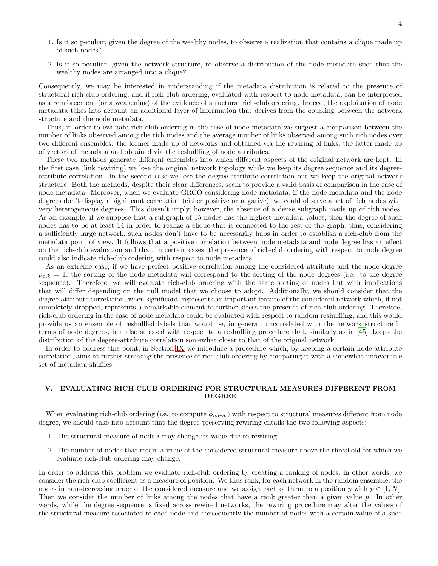- 1. Is it so peculiar, given the degree of the wealthy nodes, to observe a realization that contains a clique made up of such nodes?
- 2. Is it so peculiar, given the network structure, to observe a distribution of the node metadata such that the wealthy nodes are arranged into a clique?

Consequently, we may be interested in understanding if the metadata distribution is related to the presence of structural rich-club ordering, and if rich-club ordering, evaluated with respect to node metadata, can be interpreted as a reinforcement (or a weakening) of the evidence of structural rich-club ordering. Indeed, the exploitation of node metadata takes into account an additional layer of information that derives from the coupling between the network structure and the node metadata.

Thus, in order to evaluate rich-club ordering in the case of node metadata we suggest a comparison between the number of links observed among the rich nodes and the average number of links observed among such rich nodes over two different ensembles: the former made up of networks and obtained via the rewiring of links; the latter made up of vectors of metadata and obtained via the reshuffling of node attributes.

These two methods generate different ensembles into which different aspects of the original network are kept. In the first case (link rewiring) we lose the original network topology while we keep its degree sequence and its degreeattribute correlation. In the second case we lose the degree-attribute correlation but we keep the original network structure. Both the methods, despite their clear differences, seem to provide a valid basis of comparison in the case of node metadata. Moreover, when we evaluate GRCO considering node metadata, if the node metadata and the node degrees don't display a significant correlation (either positive or negative), we could observe a set of rich nodes with very heterogeneous degrees. This doesn't imply, however, the absence of a dense subgraph made up of rich nodes. As an example, if we suppose that a subgraph of 15 nodes has the highest metadata values, then the degree of such nodes has to be at least 14 in order to realize a clique that is connected to the rest of the graph; thus, considering a sufficiently large network, such nodes don't have to be necessarily hubs in order to establish a rich-club from the metadata point of view. It follows that a positive correlation between node metadata and node degree has an effect on the rich-club evaluation and that, in certain cases, the presence of rich-club ordering with respect to node degree could also indicate rich-club ordering with respect to node metadata.

As an extreme case, if we have perfect positive correlation among the considered attribute and the node degree  $\rho_{x,k} = 1$ , the sorting of the node metadata will correspond to the sorting of the node degrees (i.e. to the degree sequence). Therefore, we will evaluate rich-club ordering with the same sorting of nodes but with implications that will differ depending on the null model that we choose to adopt. Additionally, we should consider that the degree-attribute correlation, when significant, represents an important feature of the considered network which, if not completely dropped, represents a remarkable element to further stress the presence of rich-club ordering. Therefore, rich-club ordering in the case of node metadata could be evaluated with respect to random reshuffling, and this would provide us an ensemble of reshuffled labels that would be, in general, uncorrelated with the network structure in terms of node degrees, but also stressed with respect to a reshuffling procedure that, similarly as in [\[45\]](#page-13-6), keeps the distribution of the degree-attribute correlation somewhat closer to that of the original network.

In order to address this point, in Section [IX](#page-8-0) we introduce a procedure which, by keeping a certain node-attribute correlation, aims at further stressing the presence of rich-club ordering by comparing it with a somewhat unfavorable set of metadata shuffles.

## V. EVALUATING RICH-CLUB ORDERING FOR STRUCTURAL MEASURES DIFFERENT FROM DEGREE

When evaluating rich-club ordering (i.e. to compute  $\phi_{norm}$ ) with respect to structural measures different from node degree, we should take into account that the degree-preserving rewiring entails the two following aspects:

- 1. The structural measure of node  $i$  may change its value due to rewiring.
- 2. The number of nodes that retain a value of the considered structural measure above the threshold for which we evaluate rich-club ordering may change.

In order to address this problem we evaluate rich-club ordering by creating a ranking of nodes; in other words, we consider the rich-club coefficient as a measure of position. We thus rank, for each network in the random ensemble, the nodes in non-decreasing order of the considered measure and we assign each of them to a position p with  $p \in [1, N]$ . Then we consider the number of links among the nodes that have a rank greater than a given value p. In other words, while the degree sequence is fixed across rewired networks, the rewiring procedure may alter the values of the structural measure associated to each node and consequently the number of nodes with a certain value of a such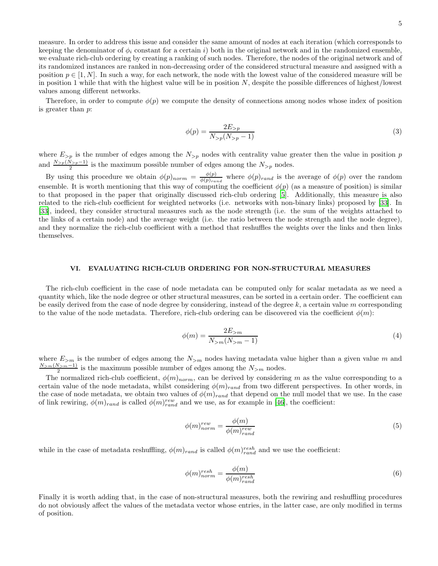measure. In order to address this issue and consider the same amount of nodes at each iteration (which corresponds to keeping the denominator of  $\phi_i$  constant for a certain i) both in the original network and in the randomized ensemble, we evaluate rich-club ordering by creating a ranking of such nodes. Therefore, the nodes of the original network and of its randomized instances are ranked in non-decreasing order of the considered structural measure and assigned with a position  $p \in [1, N]$ . In such a way, for each network, the node with the lowest value of the considered measure will be in position 1 while that with the highest value will be in position  $N$ , despite the possible differences of highest/lowest values among different networks.

<span id="page-4-0"></span>Therefore, in order to compute  $\phi(p)$  we compute the density of connections among nodes whose index of position is greater than p:

$$
\phi(p) = \frac{2E_{>p}}{N_{>p}(N_{>p}-1)}\tag{3}
$$

where  $E_{>p}$  is the number of edges among the  $N_{>p}$  nodes with centrality value greater then the value in position p and  $\frac{N_{>p}(\hat{N}_{>p}-1)}{2}$  is the maximum possible number of edges among the  $N_{>p}$  nodes.

By using this procedure we obtain  $\phi(p)_{norm} = \frac{\phi(p)}{\phi(p)_{\text{max}}}$  $\frac{\varphi(p)}{\phi(p)_{rand}}$  where  $\phi(p)_{rand}$  is the average of  $\phi(p)$  over the random ensemble. It is worth mentioning that this way of computing the coefficient  $\phi(p)$  (as a measure of position) is similar to that proposed in the paper that originally discussed rich-club ordering [\[5](#page-11-4)]. Additionally, this measure is also related to the rich-club coefficient for weighted networks (i.e. networks with non-binary links) proposed by [\[33\]](#page-12-18). In [\[33\]](#page-12-18), indeed, they consider structural measures such as the node strength (i.e. the sum of the weights attached to the links of a certain node) and the average weight (i.e. the ratio between the node strength and the node degree), and they normalize the rich-club coefficient with a method that reshuffles the weights over the links and then links themselves.

## VI. EVALUATING RICH-CLUB ORDERING FOR NON-STRUCTURAL MEASURES

The rich-club coefficient in the case of node metadata can be computed only for scalar metadata as we need a quantity which, like the node degree or other structural measures, can be sorted in a certain order. The coefficient can be easily derived from the case of node degree by considering, instead of the degree  $k$ , a certain value m corresponding to the value of the node metadata. Therefore, rich-club ordering can be discovered via the coefficient  $\phi(m)$ :

$$
\phi(m) = \frac{2E_{>m}}{N_{>m}(N_{>m} - 1)}\tag{4}
$$

where  $E_{>m}$  is the number of edges among the  $N_{>m}$  nodes having metadata value higher than a given value m and  $\frac{N_{>m}(N_{>m}-1)}{2}$  is the maximum possible number of edges among the  $N_{>m}$  nodes.

The normalized rich-club coefficient,  $\phi(m)_{norm}$ , can be derived by considering m as the value corresponding to a certain value of the node metadata, whilst considering  $\phi(m)_{rand}$  from two different perspectives. In other words, in the case of node metadata, we obtain two values of  $\phi(m)_{rand}$  that depend on the null model that we use. In the case of link rewiring,  $\phi(m)_{rand}$  is called  $\phi(m)_{rand}^{rew}$  and we use, as for example in [\[46\]](#page-13-7), the coefficient:

<span id="page-4-1"></span>
$$
\phi(m)_{norm}^{rew} = \frac{\phi(m)}{\phi(m)_{rand}^{rew}}\tag{5}
$$

while in the case of metadata reshuffling,  $\phi(m)_{rand}$  is called  $\phi(m)_{rand}^{resh}$  and we use the coefficient:

<span id="page-4-2"></span>
$$
\phi(m)_{norm}^{resh} = \frac{\phi(m)}{\phi(m)_{rand}^{resh}}
$$
\n(6)

Finally it is worth adding that, in the case of non-structural measures, both the rewiring and reshuffling procedures do not obviously affect the values of the metadata vector whose entries, in the latter case, are only modified in terms of position.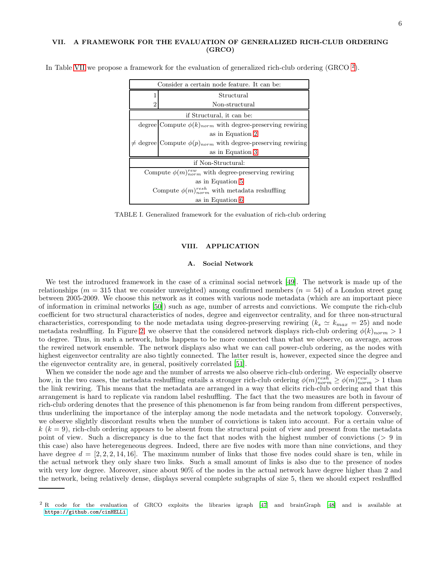## <span id="page-5-0"></span>VII. A FRAMEWORK FOR THE EVALUATION OF GENERALIZED RICH-CLUB ORDERING (GRCO)

| Consider a certain node feature. It can be:                    |                                                                 |
|----------------------------------------------------------------|-----------------------------------------------------------------|
|                                                                | Structural                                                      |
| 2                                                              | Non-structural                                                  |
| if Structural, it can be:                                      |                                                                 |
|                                                                | degree Compute $\phi(k)_{norm}$ with degree-preserving rewiring |
|                                                                | as in Equation 2                                                |
|                                                                | degree Compute $\phi(p)_{norm}$ with degree-preserving rewiring |
|                                                                | as in Equation 3                                                |
| if Non-Structural:                                             |                                                                 |
| Compute $\phi(m)_{norm}^{rew}$ with degree-preserving rewiring |                                                                 |
| as in Equation 5                                               |                                                                 |
| Compute $\phi(m)_{norm}^{resh}$ with metadata reshuffling      |                                                                 |
| as in Equation 6                                               |                                                                 |

In Table [VII](#page-5-0) we propose a framework for the evaluation of generalized rich-club ordering (GRCO  $^2$  $^2$ ).

TABLE I. Generalized framework for the evaluation of rich-club ordering

## VIII. APPLICATION

## A. Social Network

We test the introduced framework in the case of a criminal social network [\[49\]](#page-13-8). The network is made up of the relationships ( $m = 315$  that we consider unweighted) among confirmed members ( $n = 54$ ) of a London street gang between 2005-2009. We choose this network as it comes with various node metadata (which are an important piece of information in criminal networks [\[50\]](#page-13-9)) such as age, number of arrests and convictions. We compute the rich-club coefficient for two structural characteristics of nodes, degree and eigenvector centrality, and for three non-structural characteristics, corresponding to the node metadata using degree-preserving rewiring  $(k_s \simeq k_{max} = 25)$  and node metadata reshuffling. In Figure [2,](#page-6-0) we observe that the considered network displays rich-club ordering  $\phi(k)_{norm} > 1$ to degree. Thus, in such a network, hubs happens to be more connected than what we observe, on average, across the rewired network ensemble. The network displays also what we can call power-club ordering, as the nodes with highest eigenvector centrality are also tightly connected. The latter result is, however, expected since the degree and the eigenvector centrality are, in general, positively correlated [\[51\]](#page-13-10).

When we consider the node age and the number of arrests we also observe rich-club ordering. We especially observe how, in the two cases, the metadata reshuffling entails a stronger rich-club ordering  $\phi(m)_{norm}^{resh} \geq \phi(m)_{norm}^{rew} > 1$  than the link rewiring. This means that the metadata are arranged in a way that elicits rich-club ordering and that this arrangement is hard to replicate via random label reshuffling. The fact that the two measures are both in favour of rich-club ordering denotes that the presence of this phenomenon is far from being random from different perspectives, thus underlining the importance of the interplay among the node metadata and the network topology. Conversely, we observe slightly discordant results when the number of convictions is taken into account. For a certain value of  $k (k = 9)$ , rich-club ordering appears to be absent from the structural point of view and present from the metadata point of view. Such a discrepancy is due to the fact that nodes with the highest number of convictions (> 9 in this case) also have heteregeneous degrees. Indeed, there are five nodes with more than nine convictions, and they have degree  $d = [2, 2, 2, 14, 16]$ . The maximum number of links that those five nodes could share is ten, while in the actual network they only share two links. Such a small amount of links is also due to the presence of nodes with very low degree. Moreover, since about 90% of the nodes in the actual network have degree higher than 2 and the network, being relatively dense, displays several complete subgraphs of size 5, then we should expect reshuffled

<span id="page-5-1"></span><sup>2</sup> R code for the evaluation of GRCO exploits the libraries igraph [\[47](#page-13-11)] and brainGraph [\[48\]](#page-13-12) and is available at <https://github.com/cinHELLi>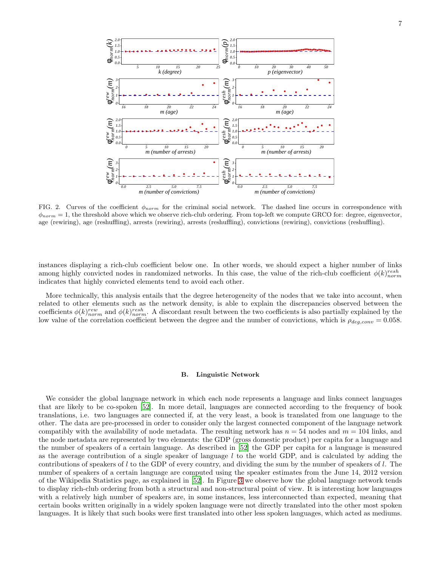

<span id="page-6-0"></span>FIG. 2. Curves of the coefficient  $\phi_{norm}$  for the criminal social network. The dashed line occurs in correspondence with  $\phi_{norm} = 1$ , the threshold above which we observe rich-club ordering. From top-left we compute GRCO for: degree, eigenvector, age (rewiring), age (reshuffling), arrests (rewiring), arrests (reshuffling), convictions (rewiring), convictions (reshuffling).

instances displaying a rich-club coefficient below one. In other words, we should expect a higher number of links among highly convicted nodes in randomized networks. In this case, the value of the rich-club coefficient  $\phi(k)_{norm}^{resh}$ indicates that highly convicted elements tend to avoid each other.

More technically, this analysis entails that the degree heterogeneity of the nodes that we take into account, when related to other elements such as the network density, is able to explain the discrepancies observed between the coefficients  $\phi(k)_{norm}^{rew}$  and  $\phi(k)_{norm}^{resh}$ . A discordant result between the two coefficients is also partially explained by the low value of the correlation coefficient between the degree and the number of convictions, which is  $\rho_{deq,conv} = 0.058$ .

#### B. Linguistic Network

We consider the global language network in which each node represents a language and links connect languages that are likely to be co-spoken [\[52\]](#page-13-13). In more detail, languages are connected according to the frequency of book translations, i.e. two languages are connected if, at the very least, a book is translated from one language to the other. The data are pre-processed in order to consider only the largest connected component of the language network compatibly with the availability of node metadata. The resulting network has  $n = 54$  nodes and  $m = 104$  links, and the node metadata are represented by two elements: the GDP (gross domestic product) per capita for a language and the number of speakers of a certain language. As described in [\[52\]](#page-13-13) the GDP per capita for a language is measured as the average contribution of a single speaker of language  $l$  to the world GDP, and is calculated by adding the contributions of speakers of  $l$  to the GDP of every country, and dividing the sum by the number of speakers of  $l$ . The number of speakers of a certain language are computed using the speaker estimates from the June 14, 2012 version of the Wikipedia Statistics page, as explained in [\[52](#page-13-13)]. In Figure [3](#page-7-0) we observe how the global language network tends to display rich-club ordering from both a structural and non-structural point of view. It is interesting how languages with a relatively high number of speakers are, in some instances, less interconnected than expected, meaning that certain books written originally in a widely spoken language were not directly translated into the other most spoken languages. It is likely that such books were first translated into other less spoken languages, which acted as mediums.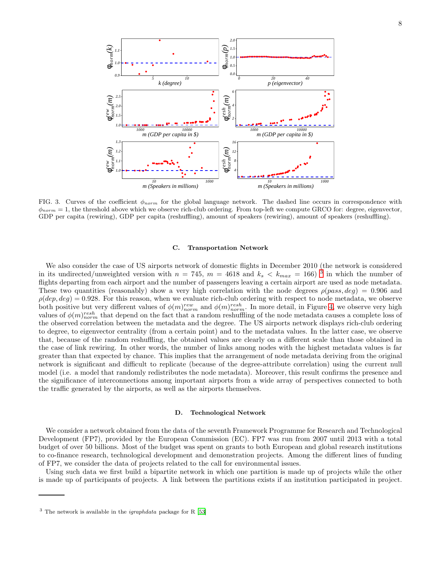

<span id="page-7-0"></span>FIG. 3. Curves of the coefficient  $\phi_{norm}$  for the global language network. The dashed line occurs in correspondence with  $\phi_{norm} = 1$ , the threshold above which we observe rich-club ordering. From top-left we compute GRCO for: degree, eigenvector, GDP per capita (rewiring), GDP per capita (reshuffling), amount of speakers (rewiring), amount of speakers (reshuffling).

## C. Transportation Network

We also consider the case of US airports network of domestic flights in December 2010 (the network is considered in its undirected/unweighted version with  $n = 745$ ,  $m = 4618$  and  $k_s < k_{max} = 166$ )<sup>[3](#page-7-1)</sup> in which the number of flights departing from each airport and the number of passengers leaving a certain airport are used as node metadata. These two quantities (reasonably) show a very high correlation with the node degrees  $\rho(pass, deg) = 0.906$  and  $\rho(dep, deg) = 0.928$ . For this reason, when we evaluate rich-club ordering with respect to node metadata, we observe both positive but very different values of  $\phi(m)_{norm}^{rew}$  and  $\phi(m)_{norm}^{resh}$ . In more detail, in Figure [4,](#page-8-1) we observe very high values of  $\phi(m)_{norm}^{resh}$  that depend on the fact that a random reshuffling of the node metadata causes a complete loss of the observed correlation between the metadata and the degree. The US airports network displays rich-club ordering to degree, to eigenvector centrality (from a certain point) and to the metadata values. In the latter case, we observe that, because of the random reshuffling, the obtained values are clearly on a different scale than those obtained in the case of link rewiring. In other words, the number of links among nodes with the highest metadata values is far greater than that expected by chance. This implies that the arrangement of node metadata deriving from the original network is significant and difficult to replicate (because of the degree-attribute correlation) using the current null model (i.e. a model that randomly redistributes the node metadata). Moreover, this result confirms the presence and the significance of interconnections among important airports from a wide array of perspectives connected to both the traffic generated by the airports, as well as the airports themselves.

#### D. Technological Network

We consider a network obtained from the data of the seventh Framework Programme for Research and Technological Development (FP7), provided by the European Commission (EC). FP7 was run from 2007 until 2013 with a total budget of over 50 billions. Most of the budget was spent on grants to both European and global research institutions to co-finance research, technological development and demonstration projects. Among the different lines of funding of FP7, we consider the data of projects related to the call for environmental issues.

Using such data we first build a bipartite network in which one partition is made up of projects while the other is made up of participants of projects. A link between the partitions exists if an institution participated in project.

<span id="page-7-1"></span> $3$  The network is available in the *igraphdata* package for R [\[53\]](#page-13-14)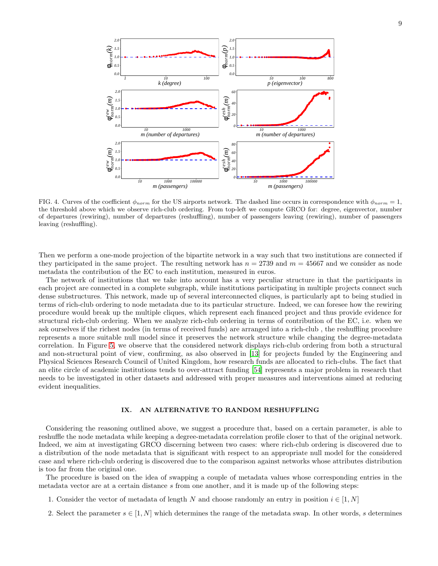

<span id="page-8-1"></span>FIG. 4. Curves of the coefficient  $\phi_{norm}$  for the US airports network. The dashed line occurs in correspondence with  $\phi_{norm} = 1$ , the threshold above which we observe rich-club ordering. From top-left we compute GRCO for: degree, eigenvector, number of departures (rewiring), number of departures (reshuffling), number of passengers leaving (rewiring), number of passengers leaving (reshuffling).

*10 1000 100000 m (passengers)*

*10 1000 100000 m (passengers)*

Then we perform a one-mode projection of the bipartite network in a way such that two institutions are connected if they participated in the same project. The resulting network has  $n = 2739$  and  $m = 45667$  and we consider as node metadata the contribution of the EC to each institution, measured in euros.

The network of institutions that we take into account has a very peculiar structure in that the participants in each project are connected in a complete subgraph, while institutions participating in multiple projects connect such dense substructures. This network, made up of several interconnected cliques, is particularly apt to being studied in terms of rich-club ordering to node metadata due to its particular structure. Indeed, we can foresee how the rewiring procedure would break up the multiple cliques, which represent each financed project and thus provide evidence for structural rich-club ordering. When we analyze rich-club ordering in terms of contribution of the EC, i.e. when we ask ourselves if the richest nodes (in terms of received funds) are arranged into a rich-club , the reshuffling procedure represents a more suitable null model since it preserves the network structure while changing the degree-metadata correlation. In Figure [5,](#page-9-0) we observe that the considered network displays rich-club ordering from both a structural and non-structural point of view, confirming, as also observed in [\[13](#page-12-26)] for projects funded by the Engineering and Physical Sciences Research Council of United Kingdom, how research funds are allocated to rich-clubs. The fact that an elite circle of academic institutions tends to over-attract funding [\[54\]](#page-13-15) represents a major problem in research that needs to be investigated in other datasets and addressed with proper measures and interventions aimed at reducing evident inequalities.

## <span id="page-8-0"></span>IX. AN ALTERNATIVE TO RANDOM RESHUFFLING

Considering the reasoning outlined above, we suggest a procedure that, based on a certain parameter, is able to reshuffle the node metadata while keeping a degree-metadata correlation profile closer to that of the original network. Indeed, we aim at investigating GRCO discerning between two cases: where rich-club ordering is discovered due to a distribution of the node metadata that is significant with respect to an appropriate null model for the considered case and where rich-club ordering is discovered due to the comparison against networks whose attributes distribution is too far from the original one.

The procedure is based on the idea of swapping a couple of metadata values whose corresponding entries in the metadata vector are at a certain distance s from one another, and it is made up of the following steps:

- 1. Consider the vector of metadata of length N and choose randomly an entry in position  $i \in [1, N]$
- 2. Select the parameter  $s \in [1, N]$  which determines the range of the metadata swap. In other words, s determines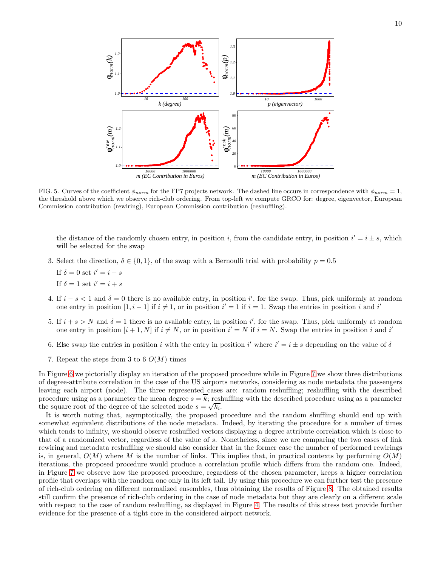

<span id="page-9-0"></span>FIG. 5. Curves of the coefficient  $\phi_{norm}$  for the FP7 projects network. The dashed line occurs in correspondence with  $\phi_{norm} = 1$ , the threshold above which we observe rich-club ordering. From top-left we compute GRCO for: degree, eigenvector, European Commission contribution (rewiring), European Commission contribution (reshuffling).

the distance of the randomly chosen entry, in position i, from the candidate entry, in position  $i' = i \pm s$ , which will be selected for the swap

- 3. Select the direction,  $\delta \in \{0,1\}$ , of the swap with a Bernoulli trial with probability  $p = 0.5$ 
	- If  $\delta = 0$  set  $i' = i s$ If  $\delta = 1$  set  $i' = i + s$
- 4. If  $i s < 1$  and  $\delta = 0$  there is no available entry, in position i', for the swap. Thus, pick uniformly at random one entry in position  $[1, i - 1]$  if  $i \neq 1$ , or in position  $i' = 1$  if  $i = 1$ . Swap the entries in position i and i'
- 5. If  $i + s > N$  and  $\delta = 1$  there is no available entry, in position i', for the swap. Thus, pick uniformly at random one entry in position  $[i + 1, N]$  if  $i \neq N$ , or in position  $i' = N$  if  $i = N$ . Swap the entries in position i and i'
- 6. Else swap the entries in position i with the entry in position i' where  $i' = i \pm s$  depending on the value of  $\delta$
- 7. Repeat the steps from 3 to 6  $O(M)$  times

In Figure [6](#page-10-0) we pictorially display an iteration of the proposed procedure while in Figure [7](#page-10-1) we show three distributions of degree-attribute correlation in the case of the US airports networks, considering as node metadata the passengers leaving each airport (node). The three represented cases are: random reshuffling; reshuffling with the described procedure using as a parameter the mean degree  $s = \overline{k}$ ; reshuffling with the described procedure using as a parameter the square root of the degree of the selected node  $s = \sqrt{k_i}$ .

It is worth noting that, asymptotically, the proposed procedure and the random shuffling should end up with somewhat equivalent distributions of the node metadata. Indeed, by iterating the procedure for a number of times which tends to infinity, we should observe reshuffled vectors displaying a degree attribute correlation which is close to that of a randomized vector, regardless of the value of s. Nonetheless, since we are comparing the two cases of link rewiring and metadata reshuffling we should also consider that in the former case the number of performed rewirings is, in general,  $O(M)$  where M is the number of links. This implies that, in practical contexts by performing  $O(M)$ iterations, the proposed procedure would produce a correlation profile which differs from the random one. Indeed, in Figure [7](#page-10-1) we observe how the proposed procedure, regardless of the chosen parameter, keeps a higher correlation profile that overlaps with the random one only in its left tail. By using this procedure we can further test the presence of rich-club ordering on different normalized ensembles, thus obtaining the results of Figure [8.](#page-11-5) The obtained results still confirm the presence of rich-club ordering in the case of node metadata but they are clearly on a different scale with respect to the case of random reshuffling, as displayed in Figure [4.](#page-8-1) The results of this stress test provide further evidence for the presence of a tight core in the considered airport network.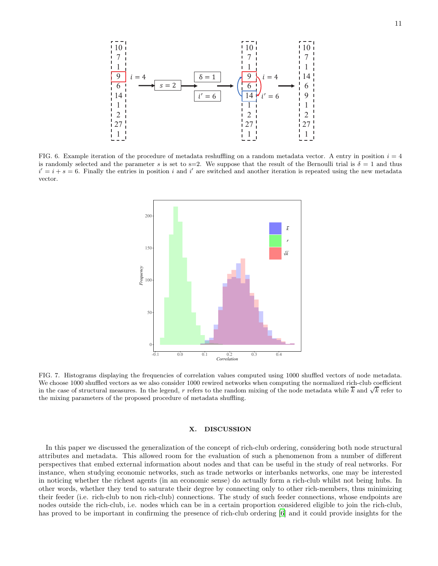

<span id="page-10-0"></span>FIG. 6. Example iteration of the procedure of metadata reshuffling on a random metadata vector. A entry in position  $i = 4$ is randomly selected and the parameter s is set to s=2. We suppose that the result of the Bernoulli trial is  $\delta = 1$  and thus  $i' = i + s = 6$ . Finally the entries in position i and i' are switched and another iteration is repeated using the new metadata vector.



<span id="page-10-1"></span>FIG. 7. Histograms displaying the frequencies of correlation values computed using 1000 shuffled vectors of node metadata. We choose 1000 shuffled vectors as we also consider 1000 rewired networks when computing the normalized rich-club coefficient in the case of structural measures. In the legend, r refers to the random mixing of the node metadata while  $\overline{k}$  and  $\sqrt{k}$  refer to the mixing parameters of the proposed procedure of metadata shuffling.

## X. DISCUSSION

In this paper we discussed the generalization of the concept of rich-club ordering, considering both node structural attributes and metadata. This allowed room for the evaluation of such a phenomenon from a number of different perspectives that embed external information about nodes and that can be useful in the study of real networks. For instance, when studying economic networks, such as trade networks or interbanks networks, one may be interested in noticing whether the richest agents (in an economic sense) do actually form a rich-club whilst not being hubs. In other words, whether they tend to saturate their degree by connecting only to other rich-members, thus minimizing their feeder (i.e. rich-club to non rich-club) connections. The study of such feeder connections, whose endpoints are nodes outside the rich-club, i.e. nodes which can be in a certain proportion considered eligible to join the rich-club, has proved to be important in confirming the presence of rich-club ordering [\[6\]](#page-12-0) and it could provide insights for the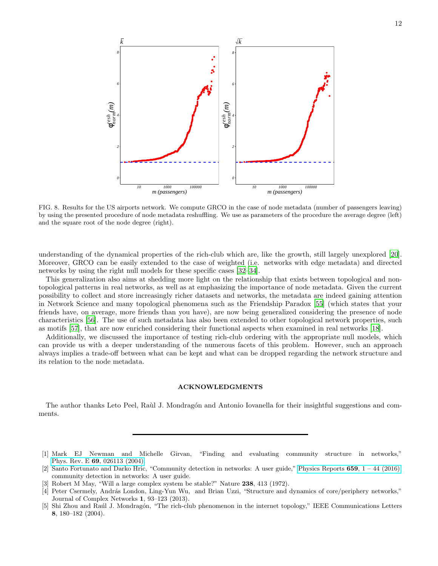

<span id="page-11-5"></span>FIG. 8. Results for the US airports network. We compute GRCO in the case of node metadata (number of passengers leaving) by using the presented procedure of node metadata reshuffling. We use as parameters of the procedure the average degree (left) and the square root of the node degree (right).

understanding of the dynamical properties of the rich-club which are, like the growth, still largely unexplored [\[20\]](#page-12-6). Moreover, GRCO can be easily extended to the case of weighted (i.e. networks with edge metadata) and directed networks by using the right null models for these specific cases [\[32](#page-12-17)[–34\]](#page-12-19).

This generalization also aims at shedding more light on the relationship that exists between topological and nontopological patterns in real networks, as well as at emphasizing the importance of node metadata. Given the current possibility to collect and store increasingly richer datasets and networks, the metadata are indeed gaining attention in Network Science and many topological phenomena such as the Friendship Paradox [\[55\]](#page-13-16) (which states that your friends have, on average, more friends than you have), are now being generalized considering the presence of node characteristics [\[56](#page-13-17)]. The use of such metadata has also been extended to other topological network properties, such as motifs [\[57](#page-13-18)], that are now enriched considering their functional aspects when examined in real networks [\[18](#page-12-25)].

Additionally, we discussed the importance of testing rich-club ordering with the appropriate null models, which can provide us with a deeper understanding of the numerous facets of this problem. However, such an approach always implies a trade-off between what can be kept and what can be dropped regarding the network structure and its relation to the node metadata.

## ACKNOWLEDGMENTS

The author thanks Leto Peel, Raùl J. Mondragón and Antonio Iovanella for their insightful suggestions and comments.

- <span id="page-11-0"></span>[1] Mark EJ Newman and Michelle Girvan, "Finding and evaluating community structure in networks," Phys. Rev. E 69[, 026113 \(2004\).](http://dx.doi.org/ 10.1103/PhysRevE.69.026113)
- <span id="page-11-1"></span>[2] Santo Fortunato and Darko Hric, "Community detection in networks: A user guide," [Physics Reports](http://dx.doi.org/ https://doi.org/10.1016/j.physrep.2016.09.002)  $659$ ,  $1 - 44$  (2016), community detection in networks: A user guide.
- <span id="page-11-2"></span>[3] Robert M May, "Will a large complex system be stable?" Nature 238, 413 (1972).
- <span id="page-11-3"></span>[4] Peter Csermely, András London, Ling-Yun Wu, and Brian Uzzi, "Structure and dynamics of core/periphery networks," Journal of Complex Networks 1, 93–123 (2013).
- <span id="page-11-4"></span>[5] Shi Zhou and Raúl J. Mondragón, "The rich-club phenomenon in the internet topology," IEEE Communications Letters 8, 180–182 (2004).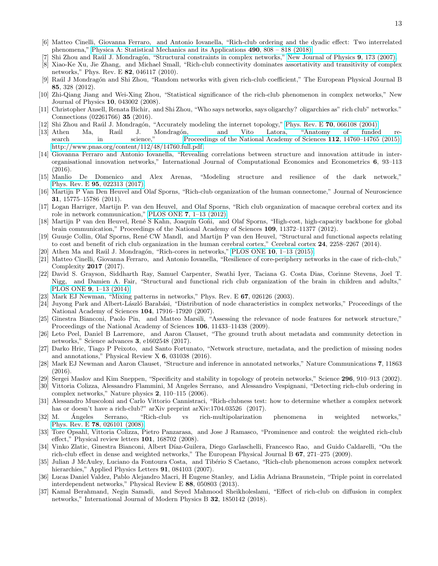- <span id="page-12-0"></span>[6] Matteo Cinelli, Giovanna Ferraro, and Antonio Iovanella, "Rich-club ordering and the dyadic effect: Two interrelated phenomena," [Physica A: Statistical Mechanics and its Applications](http://dx.doi.org/https://doi.org/10.1016/j.physa.2017.08.122) 490, 808 – 818 (2018).
- <span id="page-12-11"></span>Shi Zhou and Raúl J. Mondragón, "Structural constraints in complex networks," [New Journal of Physics](http://stacks.iop.org/1367-2630/9/i=6/a=173) 9, 173 (2007).
- <span id="page-12-16"></span>[8] Xiao-Ke Xu, Jie Zhang, and Michael Small, "Rich-club connectivity dominates assortativity and transitivity of complex networks," Phys. Rev. E 82, 046117 (2010).
- <span id="page-12-23"></span>[9] Raúl J Mondragón and Shi Zhou, "Random networks with given rich-club coefficient," The European Physical Journal B 85, 328 (2012).
- <span id="page-12-14"></span>[10] Zhi-Qiang Jiang and Wei-Xing Zhou, "Statistical significance of the rich-club phenomenon in complex networks," New Journal of Physics 10, 043002 (2008).
- <span id="page-12-1"></span>[11] Christopher Ansell, Renata Bichir, and Shi Zhou, "Who says networks, says oligarchy? oligarchies as" rich club" networks." Connections (02261766) 35 (2016).
- <span id="page-12-2"></span>Shi Zhou and Raúl J. Mondragón, "Accurately modeling the internet topology," Phys. Rev. E 70[, 066108 \(2004\).](http://dx.doi.org/ 10.1103/PhysRevE.70.066108)<br>Athen Ma, Raúl J. Mondragón, and Vito Latora, "Anatomy of funded
- <span id="page-12-26"></span>[13] Athen Ma, Raúl J. Mondragón, and Vito Latora, "Anatomy of funded re-search in science," [Proceedings of the National Academy of Sciences](http://dx.doi.org/ 10.1073/pnas.1513651112) 112, 14760–14765 (2015), [http://www.pnas.org/content/112/48/14760.full.pdf.](http://arxiv.org/abs/http://www.pnas.org/content/112/48/14760.full.pdf)
- [14] Giovanna Ferraro and Antonio Iovanella, "Revealing correlations between structure and innovation attitude in interorganisational innovation networks," International Journal of Computational Economics and Econometrics 6, 93–113 (2016).
- <span id="page-12-3"></span>[15] Manlio De Domenico and Alex Arenas, "Modeling structure and resilience of the dark network," Phys. Rev. E 95[, 022313 \(2017\).](http://dx.doi.org/ 10.1103/PhysRevE.95.022313)
- <span id="page-12-4"></span>[16] Martijn P Van Den Heuvel and Olaf Sporns, "Rich-club organization of the human connectome," Journal of Neuroscience 31, 15775–15786 (2011).
- <span id="page-12-24"></span>[17] Logan Harriger, Martijn P. van den Heuvel, and Olaf Sporns, "Rich club organization of macaque cerebral cortex and its role in network communication," PLOS ONE 7[, 1–13 \(2012\).](http://dx.doi.org/10.1371/journal.pone.0046497)
- <span id="page-12-25"></span>[18] Martijn P van den Heuvel, René S Kahn, Joaquín Goñi, and Olaf Sporns, "High-cost, high-capacity backbone for global brain communication," Proceedings of the National Academy of Sciences 109, 11372–11377 (2012).
- <span id="page-12-5"></span>[19] Guusje Collin, Olaf Sporns, René CW Mandl, and Martijn P van den Heuvel, "Structural and functional aspects relating to cost and benefit of rich club organization in the human cerebral cortex," Cerebral cortex 24, 2258–2267 (2014).
- <span id="page-12-6"></span> $[20]$  Athen Ma and Raúl J. Mondragón, "Rich-cores in networks," PLOS ONE 10, 1-13 (2015).
- <span id="page-12-7"></span>[21] Matteo Cinelli, Giovanna Ferraro, and Antonio Iovanella, "Resilience of core-periphery networks in the case of rich-club," Complexity 2017 (2017).
- <span id="page-12-8"></span>[22] David S. Grayson, Siddharth Ray, Samuel Carpenter, Swathi Iyer, Taciana G. Costa Dias, Corinne Stevens, Joel T. Nigg, and Damien A. Fair, "Structural and functional rich club organization of the brain in children and adults," PLOS ONE 9[, 1–13 \(2014\).](http://dx.doi.org/10.1371/journal.pone.0088297)
- <span id="page-12-9"></span>[23] Mark EJ Newman, "Mixing patterns in networks," Phys. Rev. E 67, 026126 (2003).
- [24] Juyong Park and Albert-László Barabási, "Distribution of node characteristics in complex networks," Proceedings of the National Academy of Sciences 104, 17916–17920 (2007).
- [25] Ginestra Bianconi, Paolo Pin, and Matteo Marsili, "Assessing the relevance of node features for network structure," Proceedings of the National Academy of Sciences 106, 11433–11438 (2009).
- [26] Leto Peel, Daniel B Larremore, and Aaron Clauset, "The ground truth about metadata and community detection in networks," Science advances 3, e1602548 (2017).
- [27] Darko Hric, Tiago P Peixoto, and Santo Fortunato, "Network structure, metadata, and the prediction of missing nodes and annotations," Physical Review X 6, 031038 (2016).
- <span id="page-12-10"></span>[28] Mark EJ Newman and Aaron Clauset, "Structure and inference in annotated networks," Nature Communications 7, 11863 (2016).
- <span id="page-12-12"></span>[29] Sergei Maslov and Kim Sneppen, "Specificity and stability in topology of protein networks," Science 296, 910–913 (2002).
- <span id="page-12-13"></span>[30] Vittoria Colizza, Alessandro Flammini, M Angeles Serrano, and Alessandro Vespignani, "Detecting rich-club ordering in complex networks," Nature physics 2, 110–115 (2006).
- <span id="page-12-15"></span>[31] Alessandro Muscoloni and Carlo Vittorio Cannistraci, "Rich-clubness test: how to determine whether a complex network has or doesn't have a rich-club?" arXiv preprint arXiv:1704.03526 (2017).
- <span id="page-12-17"></span>[32] M. Angeles Serrano, "Rich-club vs rich-multipolarization phenomena in weighted networks," Phys. Rev. E 78[, 026101 \(2008\).](http://dx.doi.org/10.1103/PhysRevE.78.026101)
- <span id="page-12-18"></span>[33] Tore Opsahl, Vittoria Colizza, Pietro Panzarasa, and Jose J Ramasco, "Prominence and control: the weighted rich-club effect," Physical review letters 101, 168702 (2008).
- <span id="page-12-19"></span>[34] Vinko Zlatic, Ginestra Bianconi, Albert Díaz-Guilera, Diego Garlaschelli, Francesco Rao, and Guido Caldarelli, "On the rich-club effect in dense and weighted networks," The European Physical Journal B 67, 271–275 (2009).
- <span id="page-12-20"></span>[35] Julian J McAuley, Luciano da Fontoura Costa, and Tibério S Caetano, "Rich-club phenomenon across complex network hierarchies," Applied Physics Letters **91**, 084103 (2007).
- <span id="page-12-21"></span>[36] Lucas Daniel Valdez, Pablo Alejandro Macri, H Eugene Stanley, and Lidia Adriana Braunstein, "Triple point in correlated interdependent networks," Physical Review E 88, 050803 (2013).
- <span id="page-12-22"></span>[37] Kamal Berahmand, Negin Samadi, and Seyed Mahmood Sheikholeslami, "Effect of rich-club on diffusion in complex networks," International Journal of Modern Physics B 32, 1850142 (2018).